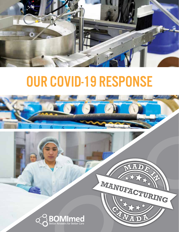

# Our COVID-19 Response





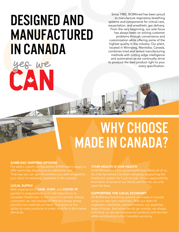## DESIGNED AND **MANUFACTURED** in Canada

We

Since 1985, BOMImed has been proud to manufacture respiratory breathing systems and components for critical care, resuscitation, and anesthetic gas delivery. From the very beginning, our sole focus has always been on solving customer problems through convenience and customization while offering some of the highest quality in the industry. Our plant, located in Winnipeg, Manitoba, Canada, combines tried and tested manufacturing methods with cutting edge intelligence and automation as we continually strive to produce the best product right to your every specification.

### WHY CHOOSE **MADE IN CANADA?**

#### SAME-DAY SHIPPING OPTIONS

For select custom configurations BOMImed is happy to offer same-day shipping at no additional cost. your door immediately, anywhere in the country!

#### LOCAL SUPPLY

#### With experience of **SARS, H1N1**, and **COVID-19**,

pandemic preparedness is of vital importance to Canadian Healthcare. In the event of a border closure, plentiful raw materials on hand. That gives us the ability to make products to order, or shifts in the market demands.

#### YOUR HEALTH IS OUR HEALTH

As a family-owned Canadian company, supporting the healthcare system isn't just our job, it's our responsibility. want the best.

#### SUPPORTING THE LOCAL ECONOMY

All BOMImed breathing systems are made in Canada engineers, machinists, and technicians, our expertise stays in house. And when we do go outside, we always look local, so we can improve our products and services while contributing to the Canadian economy.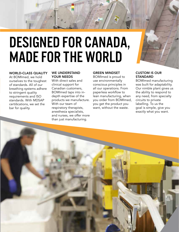

#### WORLD-CLASS QUALITY

At BOMImed, we hold ourselves to the toughest of standards. All of our breathing systems adhere to stringent quality requirements and ISO standards. With MDSAP certifications, we set the bar for quality.

#### WE UNDERSTAND YOUR NEEDS

With direct sales and clinical support for Canadian customers, BOMImed taps into indepth expertise of the products we manufacture. With our team of respiratory therapists, anesthesia specialists, and nurses, we offer more than just manufacturing.

#### GREEN MINDSET

BOMImed is proud to use environmentally conscious principles in all our operations. From paperless workflow to lean manufacturing, when you order from BOMImed, you get the product you want, without the waste.

#### CUSTOM IS OUR **STANDARD**

BOMImed manufacturing was built for adaptability. Our nimble plant gives us the ability to respond to any need, from specialty circuits to private labelling. To us the goal is simple, give you exactly what you want.